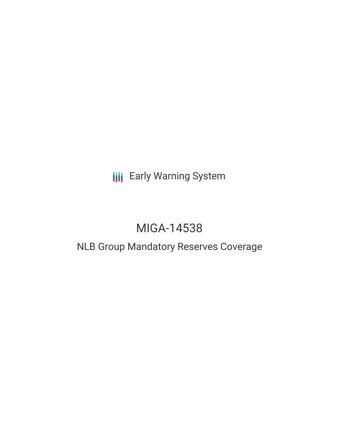# **III** Early Warning System

# MIGA-14538

## NLB Group Mandatory Reserves Coverage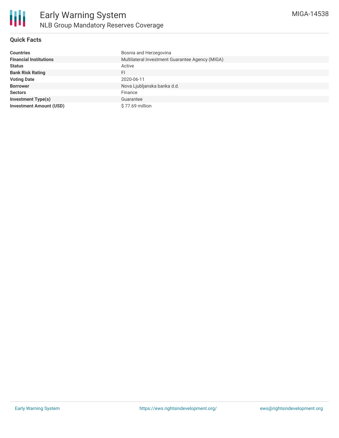

#### **Quick Facts**

| <b>Countries</b>               | Bosnia and Herzegovina                          |
|--------------------------------|-------------------------------------------------|
| <b>Financial Institutions</b>  | Multilateral Investment Guarantee Agency (MIGA) |
| <b>Status</b>                  | Active                                          |
| <b>Bank Risk Rating</b>        | FI                                              |
| <b>Voting Date</b>             | 2020-06-11                                      |
| <b>Borrower</b>                | Nova Ljubljanska banka d.d.                     |
| <b>Sectors</b>                 | Finance                                         |
| <b>Investment Type(s)</b>      | Guarantee                                       |
| <b>Investment Amount (USD)</b> | $$77.69$ million                                |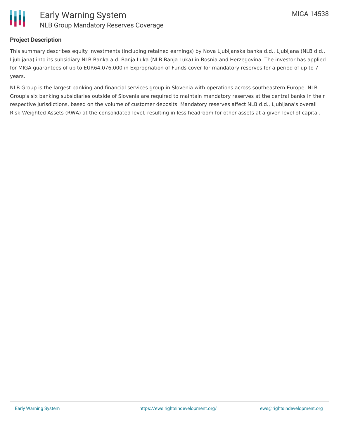

#### **Project Description**

This summary describes equity investments (including retained earnings) by Nova Ljubljanska banka d.d., Ljubljana (NLB d.d., Ljubljana) into its subsidiary NLB Banka a.d. Banja Luka (NLB Banja Luka) in Bosnia and Herzegovina. The investor has applied for MIGA guarantees of up to EUR64,076,000 in Expropriation of Funds cover for mandatory reserves for a period of up to 7 years.

NLB Group is the largest banking and financial services group in Slovenia with operations across southeastern Europe. NLB Group's six banking subsidiaries outside of Slovenia are required to maintain mandatory reserves at the central banks in their respective jurisdictions, based on the volume of customer deposits. Mandatory reserves affect NLB d.d., Ljubljana's overall Risk-Weighted Assets (RWA) at the consolidated level, resulting in less headroom for other assets at a given level of capital.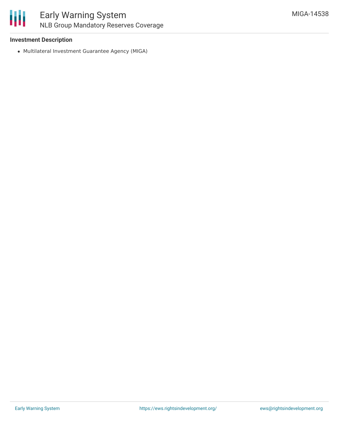

### Early Warning System NLB Group Mandatory Reserves Coverage

#### **Investment Description**

Multilateral Investment Guarantee Agency (MIGA)